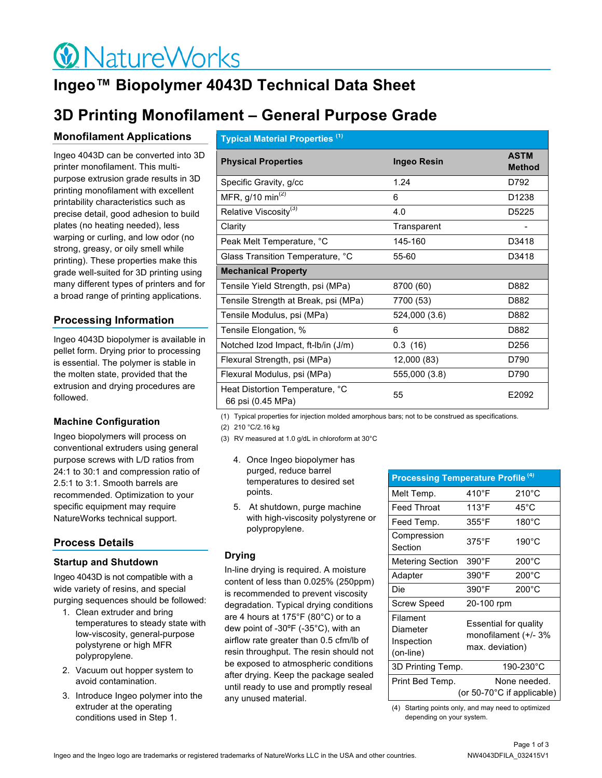# $\bigcirc$  NatureWorks

# **Ingeo™ Biopolymer 4043D Technical Data Sheet**

# **3D Printing Monofilament – General Purpose Grade**

# **Monofilament Applications**

Ingeo 4043D can be converted into 3D printer monofilament. This multipurpose extrusion grade results in 3D printing monofilament with excellent printability characteristics such as precise detail, good adhesion to build plates (no heating needed), less warping or curling, and low odor (no strong, greasy, or oily smell while printing). These properties make this grade well-suited for 3D printing using many different types of printers and for a broad range of printing applications.

# **Processing Information**

Ingeo 4043D biopolymer is available in pellet form. Drying prior to processing is essential. The polymer is stable in the molten state, provided that the extrusion and drying procedures are followed.

# **Machine Configuration**

Ingeo biopolymers will process on conventional extruders using general purpose screws with L/D ratios from 24:1 to 30:1 and compression ratio of 2.5:1 to 3:1. Smooth barrels are recommended. Optimization to your specific equipment may require NatureWorks technical support.

# **Process Details**

## **Startup and Shutdown**

Ingeo 4043D is not compatible with a wide variety of resins, and special purging sequences should be followed:

- 1. Clean extruder and bring temperatures to steady state with low-viscosity, general-purpose polystyrene or high MFR polypropylene.
- 2. Vacuum out hopper system to avoid contamination.
- 3. Introduce Ingeo polymer into the extruder at the operating conditions used in Step 1.

| <b>Typical Material Properties (1)</b>               |                    |                              |  |
|------------------------------------------------------|--------------------|------------------------------|--|
| <b>Physical Properties</b>                           | <b>Ingeo Resin</b> | <b>ASTM</b><br><b>Method</b> |  |
| Specific Gravity, g/cc                               | 1.24               | D792                         |  |
| MFR, $g/10 \text{ min}^{(2)}$                        | 6                  | D <sub>1238</sub>            |  |
| Relative Viscosity <sup>(3)</sup>                    | 4.0                | D5225                        |  |
| Clarity                                              | Transparent        |                              |  |
| Peak Melt Temperature, °C                            | 145-160            | D3418                        |  |
| Glass Transition Temperature, °C                     | 55-60              | D3418                        |  |
| <b>Mechanical Property</b>                           |                    |                              |  |
| Tensile Yield Strength, psi (MPa)                    | 8700 (60)          | D882                         |  |
| Tensile Strength at Break, psi (MPa)                 | 7700 (53)          | D882                         |  |
| Tensile Modulus, psi (MPa)                           | 524,000 (3.6)      | D882                         |  |
| Tensile Elongation, %                                | 6                  | D882                         |  |
| Notched Izod Impact, ft-Ib/in (J/m)                  | 0.3(16)            | D <sub>256</sub>             |  |
| Flexural Strength, psi (MPa)                         | 12,000 (83)        | D790                         |  |
| Flexural Modulus, psi (MPa)                          | 555,000 (3.8)      | D790                         |  |
| Heat Distortion Temperature, °C<br>66 psi (0.45 MPa) | 55                 | E2092                        |  |

(1) Typical properties for injection molded amorphous bars; not to be construed as specifications.

(2) 210 °C/2.16 kg

- (3) RV measured at 1.0 g/dL in chloroform at 30°C
	- 4. Once Ingeo biopolymer has purged, reduce barrel temperatures to desired set points.
	- 5. At shutdown, purge machine with high-viscosity polystyrene or polypropylene.

## **Drying**

In-line drying is required. A moisture content of less than 0.025% (250ppm) is recommended to prevent viscosity degradation. Typical drying conditions are 4 hours at 175°F (80°C) or to a dew point of -30ºF (-35°C), with an airflow rate greater than 0.5 cfm/lb of resin throughput. The resin should not be exposed to atmospheric conditions after drying. Keep the package sealed until ready to use and promptly reseal any unused material.

| <b>Processing Temperature Profile (4)</b>       |                 |                                                                  |  |
|-------------------------------------------------|-----------------|------------------------------------------------------------------|--|
| Melt Temp.                                      | 410°F           | $210^{\circ}$ C                                                  |  |
| <b>Feed Throat</b>                              | 113°F           | 45°C                                                             |  |
| Feed Temp.                                      | 355°F           | $180^{\circ}$ C                                                  |  |
| Compression<br>Section                          | $375^{\circ}$ F | $190^{\circ}$ C                                                  |  |
| Metering Section                                | 390°F           | $200^{\circ}$ C                                                  |  |
| Adapter                                         | 390°F           | $200^{\circ}$ C                                                  |  |
| Die                                             | $390^\circ$ F   | $200^{\circ}$ C                                                  |  |
| <b>Screw Speed</b>                              |                 | 20-100 rpm                                                       |  |
| Filament<br>Diameter<br>Inspection<br>(on-line) |                 | Essential for quality<br>monofilament (+/- 3%<br>max. deviation) |  |
| 3D Printing Temp.                               |                 | 190-230°C                                                        |  |
| Print Bed Temp.                                 |                 | None needed.<br>(or 50-70°C if applicable)                       |  |

(4) Starting points only, and may need to optimized depending on your system.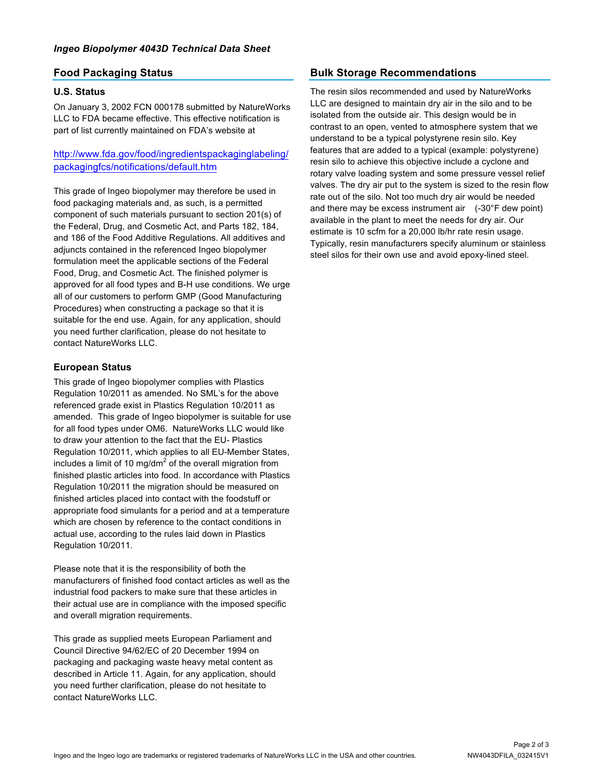## **Food Packaging Status**

#### **U.S. Status**

On January 3, 2002 FCN 000178 submitted by NatureWorks LLC to FDA became effective. This effective notification is part of list currently maintained on FDA's website at

## http://www.fda.gov/food/ingredientspackaginglabeling/ packagingfcs/notifications/default.htm

This grade of Ingeo biopolymer may therefore be used in food packaging materials and, as such, is a permitted component of such materials pursuant to section 201(s) of the Federal, Drug, and Cosmetic Act, and Parts 182, 184, and 186 of the Food Additive Regulations. All additives and adjuncts contained in the referenced Ingeo biopolymer formulation meet the applicable sections of the Federal Food, Drug, and Cosmetic Act. The finished polymer is approved for all food types and B-H use conditions. We urge all of our customers to perform GMP (Good Manufacturing Procedures) when constructing a package so that it is suitable for the end use. Again, for any application, should you need further clarification, please do not hesitate to contact NatureWorks LLC.

#### **European Status**

This grade of Ingeo biopolymer complies with Plastics Regulation 10/2011 as amended. No SML's for the above referenced grade exist in Plastics Regulation 10/2011 as amended. This grade of Ingeo biopolymer is suitable for use for all food types under OM6. NatureWorks LLC would like to draw your attention to the fact that the EU- Plastics Regulation 10/2011, which applies to all EU-Member States, includes a limit of 10 mg/dm<sup>2</sup> of the overall migration from finished plastic articles into food. In accordance with Plastics Regulation 10/2011 the migration should be measured on finished articles placed into contact with the foodstuff or appropriate food simulants for a period and at a temperature which are chosen by reference to the contact conditions in actual use, according to the rules laid down in Plastics Regulation 10/2011.

Please note that it is the responsibility of both the manufacturers of finished food contact articles as well as the industrial food packers to make sure that these articles in their actual use are in compliance with the imposed specific and overall migration requirements.

This grade as supplied meets European Parliament and Council Directive 94/62/EC of 20 December 1994 on packaging and packaging waste heavy metal content as described in Article 11. Again, for any application, should you need further clarification, please do not hesitate to contact NatureWorks LLC.

# **Bulk Storage Recommendations**

The resin silos recommended and used by NatureWorks LLC are designed to maintain dry air in the silo and to be isolated from the outside air. This design would be in contrast to an open, vented to atmosphere system that we understand to be a typical polystyrene resin silo. Key features that are added to a typical (example: polystyrene) resin silo to achieve this objective include a cyclone and rotary valve loading system and some pressure vessel relief valves. The dry air put to the system is sized to the resin flow rate out of the silo. Not too much dry air would be needed and there may be excess instrument air (-30°F dew point) available in the plant to meet the needs for dry air. Our estimate is 10 scfm for a 20,000 lb/hr rate resin usage. Typically, resin manufacturers specify aluminum or stainless steel silos for their own use and avoid epoxy-lined steel.